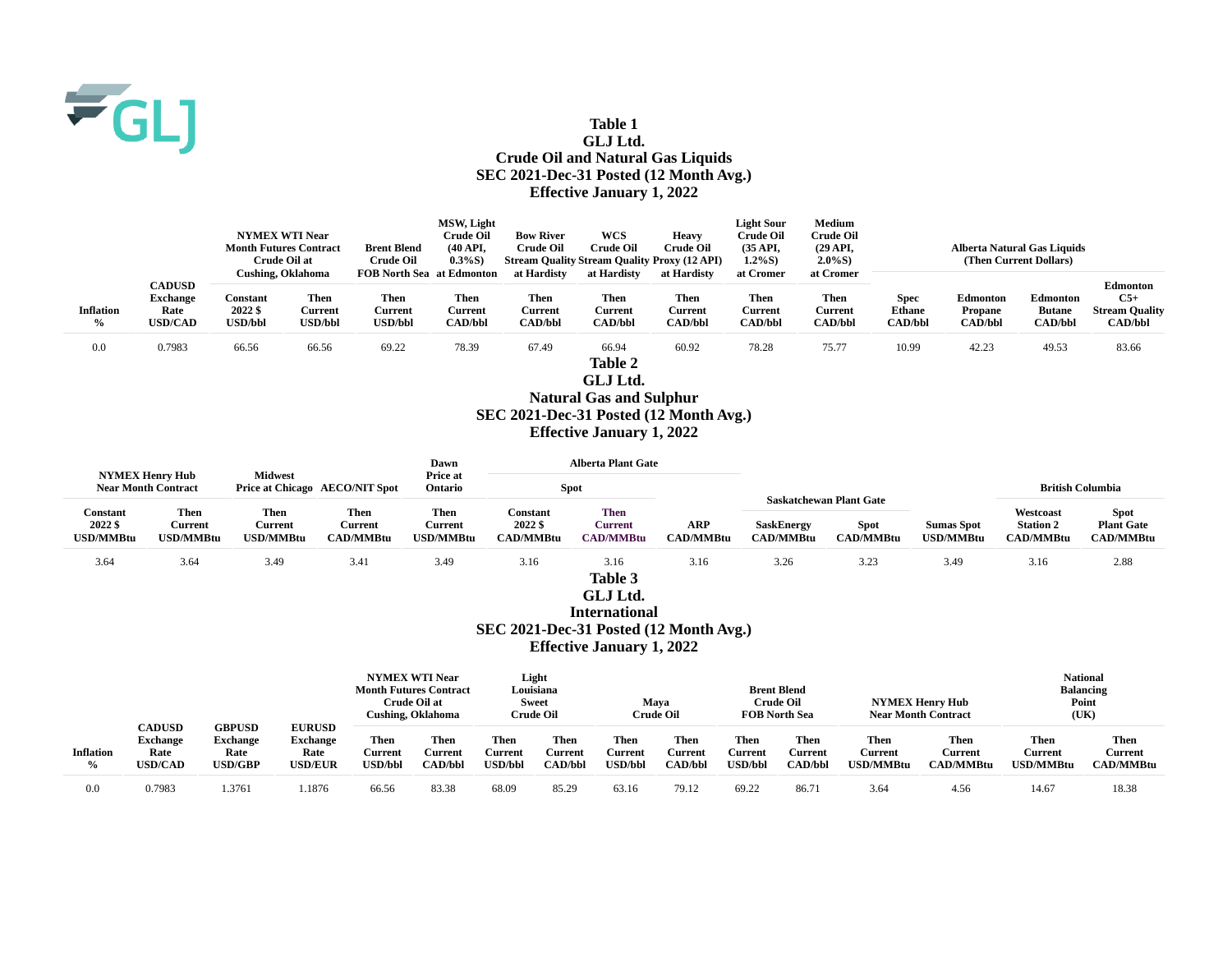

## **Table 1 GLJ Ltd. Crude Oil and Natural Gas Liquids SEC 2021-Dec-31 Posted (12 Month Avg.) Effective January 1, 2022**

|                          | MSW, Light                                                 |                                                                        |                                          |                                          |                                          |                                                 |                                                       |                                          | <b>Light Sour</b>                        | <b>Medium</b>                                   |                                                |                                              |                                                    |                                                              |
|--------------------------|------------------------------------------------------------|------------------------------------------------------------------------|------------------------------------------|------------------------------------------|------------------------------------------|-------------------------------------------------|-------------------------------------------------------|------------------------------------------|------------------------------------------|-------------------------------------------------|------------------------------------------------|----------------------------------------------|----------------------------------------------------|--------------------------------------------------------------|
|                          |                                                            | <b>NYMEX WTI Near</b><br><b>Month Futures Contract</b><br>Crude Oil at |                                          |                                          |                                          | <b>Bow River</b>                                | <b>WCS</b>                                            | Heavy                                    | <b>Crude Oil</b>                         | Crude Oil                                       |                                                |                                              |                                                    |                                                              |
|                          |                                                            |                                                                        |                                          | <b>Brent Blend</b>                       | $(40 \text{ API},$                       | <b>Crude Oil</b>                                | <b>Crude Oil</b>                                      | <b>Crude Oil</b>                         | (35 API,                                 | (29 API,                                        | Alberta Natural Gas Liquids                    |                                              |                                                    |                                                              |
|                          |                                                            |                                                                        |                                          | <b>Crude Oil</b>                         | $0.3\%$ S)                               |                                                 | <b>Stream Quality Stream Quality Proxy (12 API)</b>   |                                          | $1.2\%S$ )                               | $2.0\%$ S)                                      | (Then Current Dollars)                         |                                              |                                                    |                                                              |
|                          | <b>Cushing, Oklahoma</b>                                   |                                                                        | <b>FOB North Sea at Edmonton</b>         |                                          | at Hardisty                              |                                                 | at Hardisty<br>at Hardisty                            |                                          | at Cromer                                |                                                 |                                                |                                              |                                                    |                                                              |
| <b>Inflation</b><br>$\%$ | <b>CADUSD</b><br><b>Exchange</b><br>Rate<br><b>USD/CAD</b> | <b>Constant</b><br>2022 \$<br><b>USD/bbl</b>                           | Then<br><b>Current</b><br><b>USD/bbl</b> | Then<br><b>Current</b><br><b>USD/bbl</b> | Then<br><b>Current</b><br><b>CAD/bbl</b> | <b>Then</b><br><b>Current</b><br><b>CAD/bbl</b> | <b>Then</b><br><b>Current</b><br><b>CAD/bbl</b>       | Then<br><b>Current</b><br><b>CAD/bbl</b> | <b>Then</b><br>Current<br><b>CAD/bbl</b> | <b>Then</b><br><b>Current</b><br><b>CAD/bbl</b> | <b>Spec</b><br><b>Ethane</b><br><b>CAD/bbl</b> | <b>Edmonton</b><br>Propane<br><b>CAD/bbl</b> | <b>Edmonton</b><br><b>Butane</b><br><b>CAD/bbl</b> | Edmonton<br>$C5+$<br><b>Stream Quality</b><br><b>CAD/bbl</b> |
| 0.0                      | 0.7983                                                     | 66.56                                                                  | 66.56                                    | 69.22                                    | 78.39                                    | 67.49                                           | 66.94                                                 | 60.92                                    | 78.28                                    | 75.77                                           | 10.99                                          | 42.23                                        | 49.53                                              | 83.66                                                        |
|                          |                                                            |                                                                        |                                          |                                          |                                          |                                                 | Table 2<br>GLJ Ltd.<br><b>Natural Gas and Sulphur</b> |                                          |                                          |                                                 |                                                |                                              |                                                    |                                                              |

**SEC 2021-Dec-31 Posted (12 Month Avg.)**

**Effective January 1, 2022**

| <b>NYMEX Henry Hub</b>                  |                                     | <b>Midwest</b>                      |                                     | Dawn<br>Price at                           |                                         | <b>Alberta Plant Gate</b>                  |                                |                                       |                                 |                                       |                                                   |                                               |
|-----------------------------------------|-------------------------------------|-------------------------------------|-------------------------------------|--------------------------------------------|-----------------------------------------|--------------------------------------------|--------------------------------|---------------------------------------|---------------------------------|---------------------------------------|---------------------------------------------------|-----------------------------------------------|
| <b>Near Month Contract</b>              |                                     |                                     | Price at Chicago AECO/NIT Spot      | Ontario                                    |                                         | <b>Spot</b>                                |                                |                                       |                                 |                                       | <b>British Columbia</b>                           |                                               |
|                                         |                                     |                                     |                                     |                                            |                                         |                                            |                                |                                       | <b>Saskatchewan Plant Gate</b>  |                                       |                                                   |                                               |
| Constant<br>2022 \$<br><b>USD/MMBtu</b> | Then<br>Current<br><b>USD/MMBtu</b> | Then<br>Current<br><b>USD/MMBtu</b> | Then<br>Current<br><b>CAD/MMBtu</b> | <b>Then</b><br>Current<br><b>USD/MMBtu</b> | Constant<br>2022 \$<br><b>CAD/MMBtu</b> | <b>Then</b><br>Current<br><b>CAD/MMBtu</b> | <b>ARP</b><br><b>CAD/MMBtu</b> | <b>SaskEnergy</b><br><b>CAD/MMBtu</b> | <b>Spot</b><br><b>CAD/MMBtu</b> | <b>Sumas Spot</b><br><b>USD/MMBtu</b> | Westcoast<br><b>Station 2</b><br><b>CAD/MMBtu</b> | <b>Spot</b><br><b>Plant Gate</b><br>CAD/MMBtu |
| 3.64                                    | 3.64                                | 3.49                                | 3.41                                | 3.49                                       | 3.16                                    | 3.16                                       | 3.16                           | 3.26                                  | 3.23                            | 3.49                                  | 3.16                                              | 2.88                                          |
|                                         |                                     |                                     |                                     |                                            |                                         | Table 3<br>GLJ Ltd.                        |                                |                                       |                                 |                                       |                                                   |                                               |

**International SEC 2021-Dec-31 Posted (12 Month Avg.) Effective January 1, 2022**

|                                   |                                   | <b>CADUSD</b><br><b>GBPUSD</b><br><b>Exchange</b><br>Rate<br>Rate<br><b>USD/GBP</b> | <b>EURUSD</b><br><b>Exchange</b><br>Rate<br><b>USD/EUR</b> | <b>NYMEX WTI Near</b><br><b>Month Futures Contract</b><br>Crude Oil at<br><b>Cushing, Oklahoma</b> |                            | Light<br>Louisiana<br><b>Sweet</b><br>Crude Oil |                                   | Mava<br>Crude Oil                        |                                   | <b>Brent Blend</b><br><b>Crude Oil</b><br><b>FOB North Sea</b> |                                   | <b>NYMEX Henry Hub</b><br><b>Near Month Contract</b> |                                     | <b>National</b><br><b>Balancing</b><br>Point<br>(UK) |                                     |
|-----------------------------------|-----------------------------------|-------------------------------------------------------------------------------------|------------------------------------------------------------|----------------------------------------------------------------------------------------------------|----------------------------|-------------------------------------------------|-----------------------------------|------------------------------------------|-----------------------------------|----------------------------------------------------------------|-----------------------------------|------------------------------------------------------|-------------------------------------|------------------------------------------------------|-------------------------------------|
| <b>Inflation</b><br>$\frac{0}{0}$ | <b>Exchange</b><br><b>USD/CAD</b> |                                                                                     |                                                            | Then<br><b>Current</b><br><b>USD/bbl</b>                                                           | Then<br>Current<br>CAD/bbl | Then<br>Current<br><b>USD/bbl</b>               | Then<br>Current<br><b>CAD/bbl</b> | Then<br><b>Current</b><br><b>USD/bbl</b> | Then<br>Current<br><b>CAD/bbl</b> | Then<br>Current<br><b>USD/bbl</b>                              | Then<br>Current<br><b>CAD/bbl</b> | Then<br><b>Current</b><br>U <b>SD/MMBtu</b>          | Then<br>Current<br><b>CAD/MMBtu</b> | Then<br>Current<br><b>USD/MMBtu</b>                  | Then<br>Current<br><b>CAD/MMBtu</b> |
| $_{\rm 0.0}$                      | 0.7983                            | .3761                                                                               | .1876                                                      | 66.56                                                                                              | 83.38                      | 68.09                                           | 85.29                             | 63.16                                    | 79.12                             | 69.22                                                          | 86.7                              | 3.64                                                 | 4.56                                | 14.67                                                | 18.38                               |